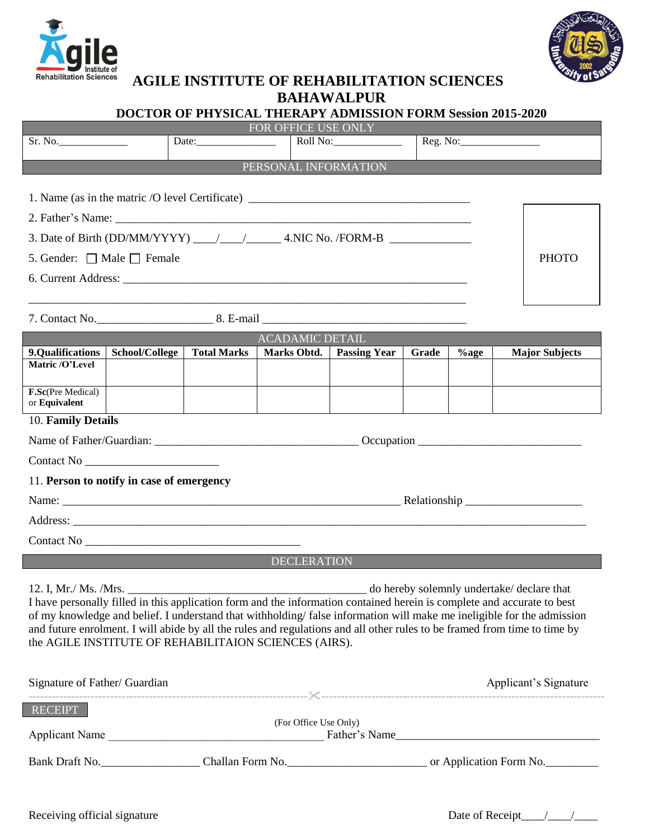



## **AGILE INSTITUTE OF REHABILITATION SCIENCES**

**BAHAWALPUR**

## **DOCTOR OF PHYSICAL THERAPY ADMISSION FORM Session 2015-2020**

| FOR OFFICE USE ONLY                                                                                                                                                                                                                                                                                                                                                                                                                    |                |                     |             |                         |                                                                           |         |                       |  |
|----------------------------------------------------------------------------------------------------------------------------------------------------------------------------------------------------------------------------------------------------------------------------------------------------------------------------------------------------------------------------------------------------------------------------------------|----------------|---------------------|-------------|-------------------------|---------------------------------------------------------------------------|---------|-----------------------|--|
| Sr. No.                                                                                                                                                                                                                                                                                                                                                                                                                                |                | Date: $\frac{1}{2}$ |             | Roll No: ______________ |                                                                           |         |                       |  |
| PERSONAL INFORMATION                                                                                                                                                                                                                                                                                                                                                                                                                   |                |                     |             |                         |                                                                           |         |                       |  |
| 1. Name (as in the matric /O level Certificate)                                                                                                                                                                                                                                                                                                                                                                                        |                |                     |             |                         |                                                                           |         |                       |  |
|                                                                                                                                                                                                                                                                                                                                                                                                                                        |                |                     |             |                         |                                                                           |         |                       |  |
| 3. Date of Birth (DD/MM/YYYY) $\_\_\_\_\_\_$ 4.NIC No. /FORM-B                                                                                                                                                                                                                                                                                                                                                                         |                |                     |             |                         |                                                                           |         |                       |  |
| 5. Gender: $\Box$ Male $\Box$ Female                                                                                                                                                                                                                                                                                                                                                                                                   |                |                     |             |                         |                                                                           |         | <b>PHOTO</b>          |  |
|                                                                                                                                                                                                                                                                                                                                                                                                                                        |                |                     |             |                         |                                                                           |         |                       |  |
|                                                                                                                                                                                                                                                                                                                                                                                                                                        |                |                     |             |                         |                                                                           |         |                       |  |
|                                                                                                                                                                                                                                                                                                                                                                                                                                        |                |                     |             |                         |                                                                           |         |                       |  |
| <b>ACADAMIC DETAIL</b>                                                                                                                                                                                                                                                                                                                                                                                                                 |                |                     |             |                         |                                                                           |         |                       |  |
| 9.Qualifications<br>Matric /O'Level                                                                                                                                                                                                                                                                                                                                                                                                    | School/College | <b>Total Marks</b>  | Marks Obtd. | <b>Passing Year</b>     | Grade                                                                     | $%$ age | <b>Major Subjects</b> |  |
|                                                                                                                                                                                                                                                                                                                                                                                                                                        |                |                     |             |                         |                                                                           |         |                       |  |
| F.Sc(Pre Medical)<br>or Equivalent                                                                                                                                                                                                                                                                                                                                                                                                     |                |                     |             |                         |                                                                           |         |                       |  |
| 10. Family Details                                                                                                                                                                                                                                                                                                                                                                                                                     |                |                     |             |                         |                                                                           |         |                       |  |
|                                                                                                                                                                                                                                                                                                                                                                                                                                        |                |                     |             |                         |                                                                           |         |                       |  |
|                                                                                                                                                                                                                                                                                                                                                                                                                                        |                |                     |             |                         |                                                                           |         |                       |  |
| 11. Person to notify in case of emergency                                                                                                                                                                                                                                                                                                                                                                                              |                |                     |             |                         |                                                                           |         |                       |  |
|                                                                                                                                                                                                                                                                                                                                                                                                                                        |                |                     |             |                         |                                                                           |         |                       |  |
|                                                                                                                                                                                                                                                                                                                                                                                                                                        |                |                     |             |                         |                                                                           |         |                       |  |
|                                                                                                                                                                                                                                                                                                                                                                                                                                        |                |                     |             |                         |                                                                           |         |                       |  |
| <b>DECLERATION</b>                                                                                                                                                                                                                                                                                                                                                                                                                     |                |                     |             |                         |                                                                           |         |                       |  |
| I have personally filled in this application form and the information contained herein is complete and accurate to best<br>of my knowledge and belief. I understand that withholding/false information will make me ineligible for the admission<br>and future enrolment. I will abide by all the rules and regulations and all other rules to be framed from time to time by<br>the AGILE INSTITUTE OF REHABILITAION SCIENCES (AIRS). |                |                     |             |                         |                                                                           |         |                       |  |
| Signature of Father/ Guardian                                                                                                                                                                                                                                                                                                                                                                                                          |                |                     |             |                         |                                                                           |         | Applicant's Signature |  |
| <b>RECEIPT</b><br>(For Office Use Only)                                                                                                                                                                                                                                                                                                                                                                                                |                |                     |             |                         |                                                                           |         |                       |  |
|                                                                                                                                                                                                                                                                                                                                                                                                                                        |                |                     |             |                         | Bank Draft No. Challan Form No. Challen Form No. 6. Challen Form No. 2014 |         |                       |  |
|                                                                                                                                                                                                                                                                                                                                                                                                                                        |                |                     |             |                         |                                                                           |         |                       |  |